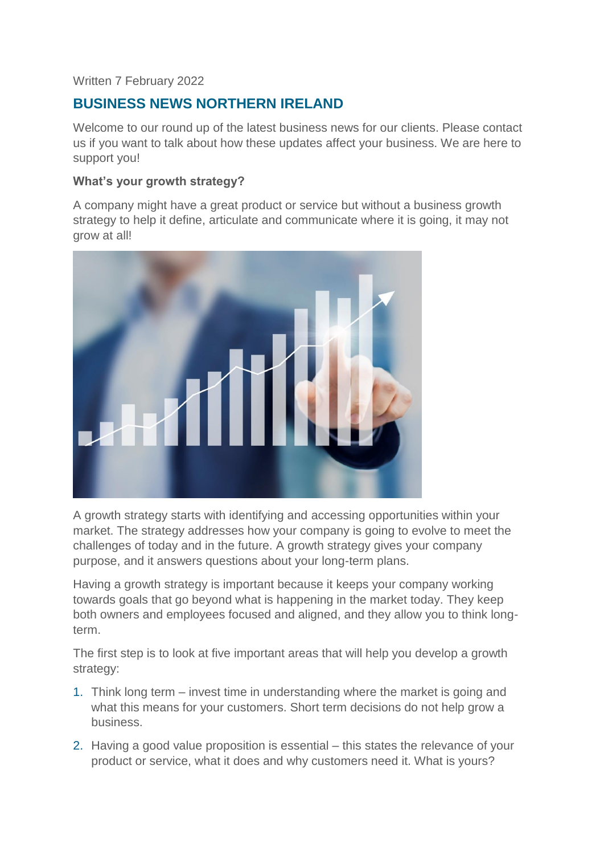## Written 7 February 2022

# **BUSINESS NEWS NORTHERN IRELAND**

Welcome to our round up of the latest business news for our clients. Please contact us if you want to talk about how these updates affect your business. We are here to support you!

#### **What's your growth strategy?**

A company might have a great product or service but without a business growth strategy to help it define, articulate and communicate where it is going, it may not grow at all!



A growth strategy starts with identifying and accessing opportunities within your market. The strategy addresses how your company is going to evolve to meet the challenges of today and in the future. A growth strategy gives your company purpose, and it answers questions about your long-term plans.

Having a growth strategy is important because it keeps your company working towards goals that go beyond what is happening in the market today. They keep both owners and employees focused and aligned, and they allow you to think longterm.

The first step is to look at five important areas that will help you develop a growth strategy:

- 1. Think long term invest time in understanding where the market is going and what this means for your customers. Short term decisions do not help grow a business.
- 2. Having a good value proposition is essential this states the relevance of your product or service, what it does and why customers need it. What is yours?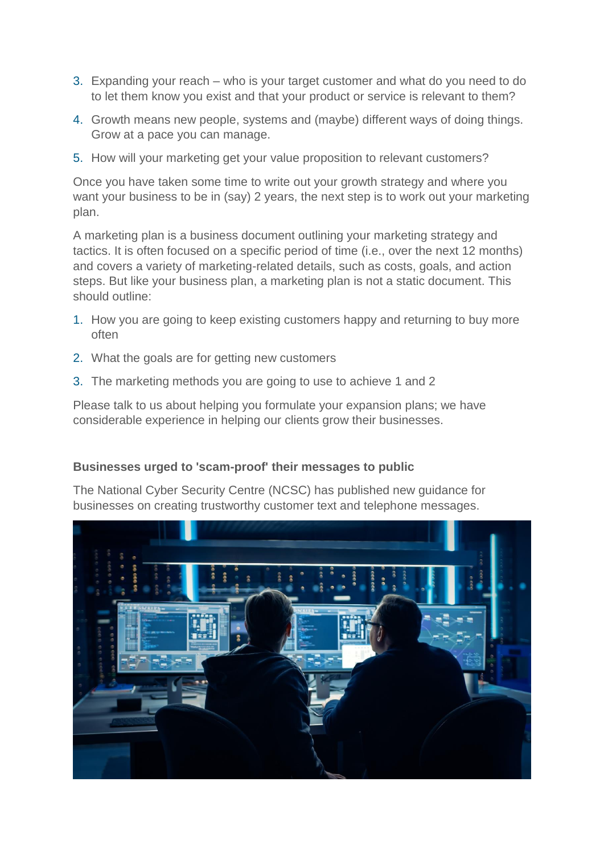- 3. Expanding your reach who is your target customer and what do you need to do to let them know you exist and that your product or service is relevant to them?
- 4. Growth means new people, systems and (maybe) different ways of doing things. Grow at a pace you can manage.
- 5. How will your marketing get your value proposition to relevant customers?

Once you have taken some time to write out your growth strategy and where you want your business to be in (say) 2 years, the next step is to work out your marketing plan.

A marketing plan is a business document outlining your marketing strategy and tactics. It is often focused on a specific period of time (i.e., over the next 12 months) and covers a variety of marketing-related details, such as costs, goals, and action steps. But like your business plan, a marketing plan is not a static document. This should outline:

- 1. How you are going to keep existing customers happy and returning to buy more often
- 2. What the goals are for getting new customers
- 3. The marketing methods you are going to use to achieve 1 and 2

Please talk to us about helping you formulate your expansion plans; we have considerable experience in helping our clients grow their businesses.

## **Businesses urged to 'scam-proof' their messages to public**

The National Cyber Security Centre (NCSC) has published new guidance for businesses on creating trustworthy customer text and telephone messages.

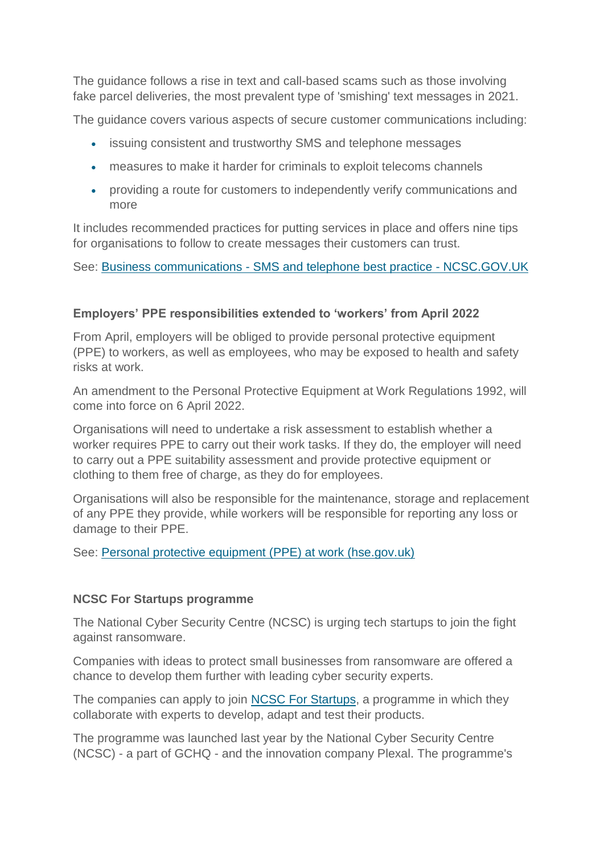The guidance follows a rise in text and call-based scams such as those involving fake parcel deliveries, the most prevalent type of 'smishing' text messages in 2021.

The guidance covers various aspects of secure customer communications including:

- issuing consistent and trustworthy SMS and telephone messages
- measures to make it harder for criminals to exploit telecoms channels
- providing a route for customers to independently verify communications and more

It includes recommended practices for putting services in place and offers nine tips for organisations to follow to create messages their customers can trust.

See: Business communications - [SMS and telephone best practice -](https://www.ncsc.gov.uk/guidance/business-communications-sms-and-telephone-best-practice) NCSC.GOV.UK

#### **Employers' PPE responsibilities extended to 'workers' from April 2022**

From April, employers will be obliged to provide personal protective equipment (PPE) to workers, as well as employees, who may be exposed to health and safety risks at work.

An amendment to the Personal Protective Equipment at Work Regulations 1992, will come into force on 6 April 2022.

Organisations will need to undertake a risk assessment to establish whether a worker requires PPE to carry out their work tasks. If they do, the employer will need to carry out a PPE suitability assessment and provide protective equipment or clothing to them free of charge, as they do for employees.

Organisations will also be responsible for the maintenance, storage and replacement of any PPE they provide, while workers will be responsible for reporting any loss or damage to their PPE.

See: [Personal protective equipment \(PPE\) at work \(hse.gov.uk\)](https://www.hse.gov.uk/ppe/index.htm)

#### **NCSC For Startups programme**

The National Cyber Security Centre (NCSC) is urging tech startups to join the fight against ransomware.

Companies with ideas to protect small businesses from ransomware are offered a chance to develop them further with leading cyber security experts.

The companies can apply to join [NCSC For Startups,](https://www.ncsc.gov.uk/section/ncsc-for-startups/overview) a programme in which they collaborate with experts to develop, adapt and test their products.

The programme was launched last year by the National Cyber Security Centre (NCSC) - a part of GCHQ - and the innovation company Plexal. The programme's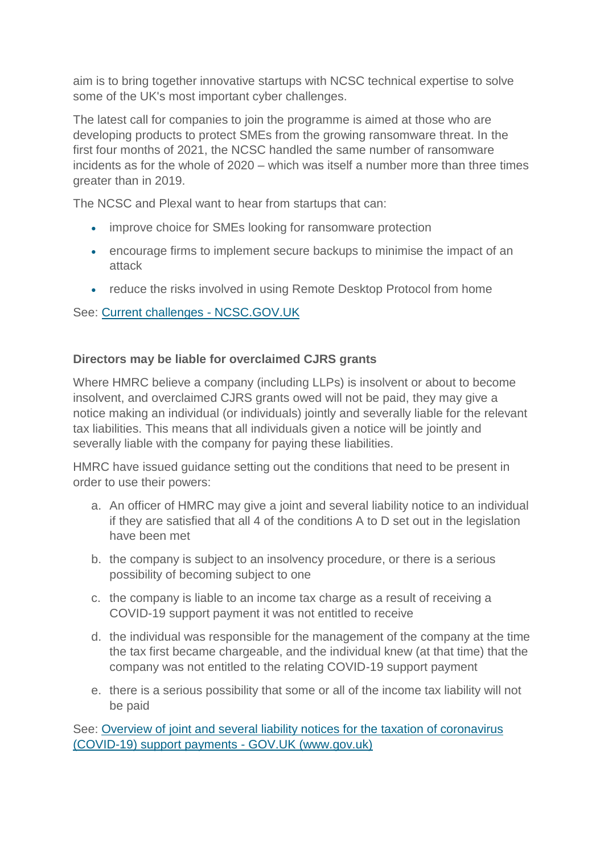aim is to bring together innovative startups with NCSC technical expertise to solve some of the UK's most important cyber challenges.

The latest call for companies to join the programme is aimed at those who are developing products to protect SMEs from the growing ransomware threat. In the first four months of 2021, the NCSC handled the same number of ransomware incidents as for the whole of 2020 – which was itself a number more than three times greater than in 2019.

The NCSC and Plexal want to hear from startups that can:

- improve choice for SMEs looking for ransomware protection
- encourage firms to implement secure backups to minimise the impact of an attack
- reduce the risks involved in using Remote Desktop Protocol from home

See: [Current challenges -](https://www.ncsc.gov.uk/section/ncsc-for-startups/current-challenges) NCSC.GOV.UK

# **Directors may be liable for overclaimed CJRS grants**

Where HMRC believe a company (including LLPs) is insolvent or about to become insolvent, and overclaimed CJRS grants owed will not be paid, they may give a notice making an individual (or individuals) jointly and severally liable for the relevant tax liabilities. This means that all individuals given a notice will be jointly and severally liable with the company for paying these liabilities.

HMRC have issued guidance setting out the conditions that need to be present in order to use their powers:

- a. An officer of HMRC may give a joint and several liability notice to an individual if they are satisfied that all 4 of the conditions A to D set out in the legislation have been met
- b. the company is subject to an insolvency procedure, or there is a serious possibility of becoming subject to one
- c. the company is liable to an income tax charge as a result of receiving a COVID-19 support payment it was not entitled to receive
- d. the individual was responsible for the management of the company at the time the tax first became chargeable, and the individual knew (at that time) that the company was not entitled to the relating COVID-19 support payment
- e. there is a serious possibility that some or all of the income tax liability will not be paid

See: [Overview of joint and several liability notices for the taxation of coronavirus](https://www.gov.uk/guidance/overview-of-joint-and-several-liability-notices-for-the-taxation-of-coronavirus-covid-19-support-payments)  [\(COVID-19\) support payments -](https://www.gov.uk/guidance/overview-of-joint-and-several-liability-notices-for-the-taxation-of-coronavirus-covid-19-support-payments) GOV.UK (www.gov.uk)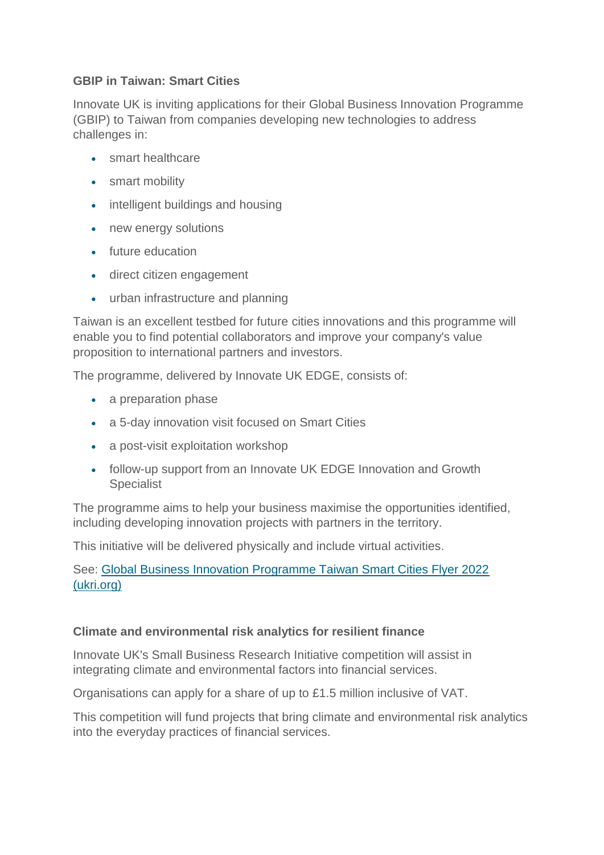## **GBIP in Taiwan: Smart Cities**

Innovate UK is inviting applications for their Global Business Innovation Programme (GBIP) to Taiwan from companies developing new technologies to address challenges in:

- smart healthcare
- smart mobility
- intelligent buildings and housing
- new energy solutions
- future education
- direct citizen engagement
- urban infrastructure and planning

Taiwan is an excellent testbed for future cities innovations and this programme will enable you to find potential collaborators and improve your company's value proposition to international partners and investors.

The programme, delivered by Innovate UK EDGE, consists of:

- a preparation phase
- a 5-day innovation visit focused on Smart Cities
- a post-visit exploitation workshop
- follow-up support from an Innovate UK EDGE Innovation and Growth **Specialist**

The programme aims to help your business maximise the opportunities identified, including developing innovation projects with partners in the territory.

This initiative will be delivered physically and include virtual activities.

See: [Global Business Innovation Programme Taiwan Smart Cities Flyer 2022](https://www.innovateukedge.ukri.org/static/2022-01/GBIP%20Taiwan%20Smart%20Cities%202022%20-%20Flyer%20EDE1094%201.0%20Jan22.pdf?VersionId=KK95h7tKybOEt.bCjFtoCPrnBzIIoUnE)  [\(ukri.org\)](https://www.innovateukedge.ukri.org/static/2022-01/GBIP%20Taiwan%20Smart%20Cities%202022%20-%20Flyer%20EDE1094%201.0%20Jan22.pdf?VersionId=KK95h7tKybOEt.bCjFtoCPrnBzIIoUnE)

## **Climate and environmental risk analytics for resilient finance**

Innovate UK's Small Business Research Initiative competition will assist in integrating climate and environmental factors into financial services.

Organisations can apply for a share of up to £1.5 million inclusive of VAT.

This competition will fund projects that bring climate and environmental risk analytics into the everyday practices of financial services.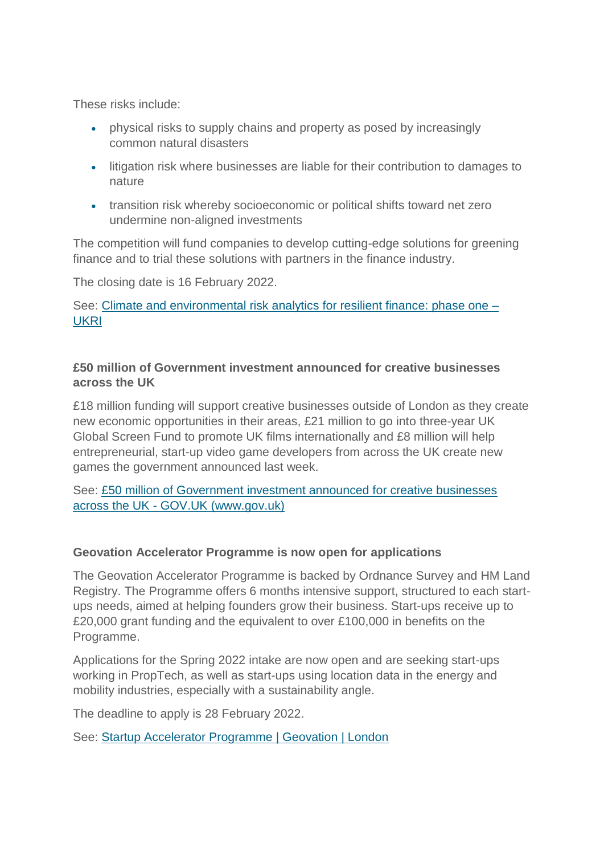These risks include:

- physical risks to supply chains and property as posed by increasingly common natural disasters
- litigation risk where businesses are liable for their contribution to damages to nature
- transition risk whereby socioeconomic or political shifts toward net zero undermine non-aligned investments

The competition will fund companies to develop cutting-edge solutions for greening finance and to trial these solutions with partners in the finance industry.

The closing date is 16 February 2022.

See: [Climate and environmental risk analytics for resilient finance: phase one –](https://www.ukri.org/opportunity/climate-and-environmental-risk-analytics-for-resilient-finance-phase-one/) [UKRI](https://www.ukri.org/opportunity/climate-and-environmental-risk-analytics-for-resilient-finance-phase-one/)

## **£50 million of Government investment announced for creative businesses across the UK**

£18 million funding will support creative businesses outside of London as they create new economic opportunities in their areas, £21 million to go into three-year UK Global Screen Fund to promote UK films internationally and £8 million will help entrepreneurial, start-up video game developers from across the UK create new games the government announced last week.

See: [£50 million of Government investment announced for creative businesses](https://www.gov.uk/government/news/50-million-of-government-investment-announced-for-creative-businesses-across-the-uk)  across the UK - [GOV.UK \(www.gov.uk\)](https://www.gov.uk/government/news/50-million-of-government-investment-announced-for-creative-businesses-across-the-uk)

## **Geovation Accelerator Programme is now open for applications**

The Geovation Accelerator Programme is backed by Ordnance Survey and HM Land Registry. The Programme offers 6 months intensive support, structured to each startups needs, aimed at helping founders grow their business. Start-ups receive up to £20,000 grant funding and the equivalent to over £100,000 in benefits on the Programme.

Applications for the Spring 2022 intake are now open and are seeking start-ups working in PropTech, as well as start-ups using location data in the energy and mobility industries, especially with a sustainability angle.

The deadline to apply is 28 February 2022.

See: [Startup Accelerator Programme | Geovation | London](https://geovation.uk/accelerator/?utm_campaign=742771_Registered%20Interest%20in%20Accelerator&utm_medium=email&utm_source=Geovation%20&dm_i=6O6N,FX4J,3XYW51,1XFF7,1)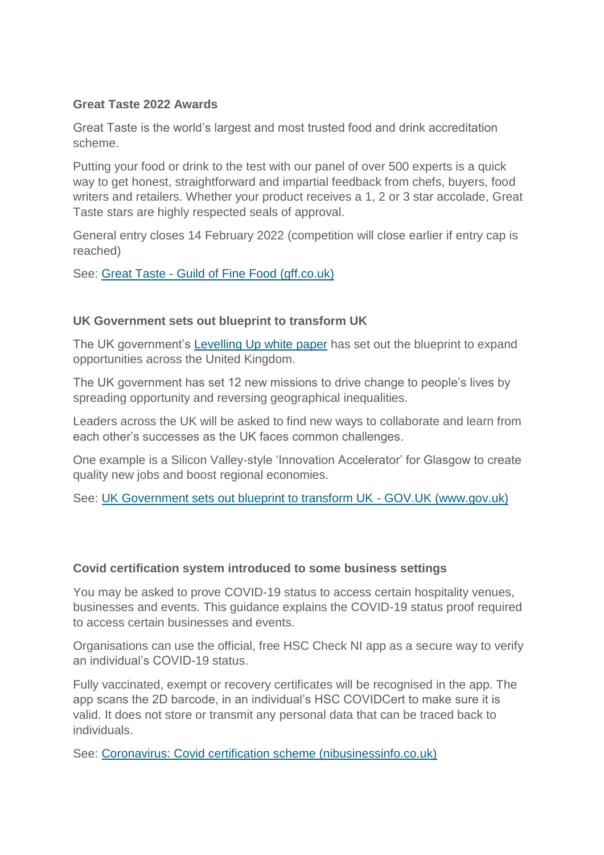## **Great Taste 2022 Awards**

Great Taste is the world's largest and most trusted food and drink accreditation scheme.

Putting your food or drink to the test with our panel of over 500 experts is a quick way to get honest, straightforward and impartial feedback from chefs, buyers, food writers and retailers. Whether your product receives a 1, 2 or 3 star accolade, Great Taste stars are highly respected seals of approval.

General entry closes 14 February 2022 (competition will close earlier if entry cap is reached)

See: Great Taste - [Guild of Fine Food \(gff.co.uk\)](https://gff.co.uk/awards/great-taste-awards/)

#### **UK Government sets out blueprint to transform UK**

The UK government's [Levelling Up white paper](https://www.gov.uk/government/publications/levelling-up-the-united-kingdom) has set out the blueprint to expand opportunities across the United Kingdom.

The UK government has set 12 new missions to drive change to people's lives by spreading opportunity and reversing geographical inequalities.

Leaders across the UK will be asked to find new ways to collaborate and learn from each other's successes as the UK faces common challenges.

One example is a Silicon Valley-style 'Innovation Accelerator' for Glasgow to create quality new jobs and boost regional economies.

See: [UK Government sets out blueprint to transform UK -](https://www.gov.uk/government/news/uk-government-sets-out-blueprint-to-transform-uk) GOV.UK (www.gov.uk)

#### **Covid certification system introduced to some business settings**

You may be asked to prove COVID-19 status to access certain hospitality venues, businesses and events. This guidance explains the COVID-19 status proof required to access certain businesses and events.

Organisations can use the official, free HSC Check NI app as a secure way to verify an individual's COVID-19 status.

Fully vaccinated, exempt or recovery certificates will be recognised in the app. The app scans the 2D barcode, in an individual's HSC COVIDCert to make sure it is valid. It does not store or transmit any personal data that can be traced back to individuals.

See: [Coronavirus: Covid certification scheme \(nibusinessinfo.co.uk\)](https://www.nibusinessinfo.co.uk/content/coronavirus-covid-certification-scheme)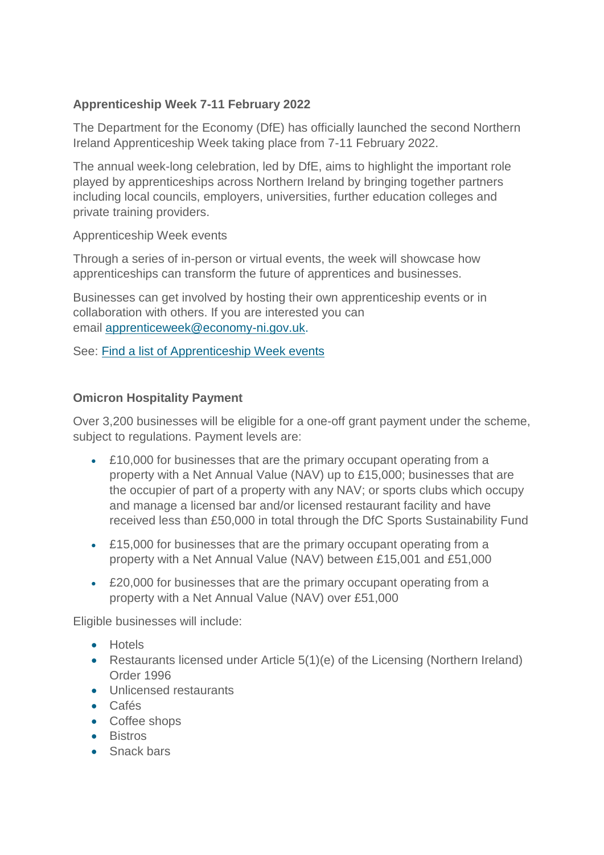# **Apprenticeship Week 7-11 February 2022**

The Department for the Economy (DfE) has officially launched the second Northern Ireland Apprenticeship Week taking place from 7-11 February 2022.

The annual week-long celebration, led by DfE, aims to highlight the important role played by apprenticeships across Northern Ireland by bringing together partners including local councils, employers, universities, further education colleges and private training providers.

#### Apprenticeship Week events

Through a series of in-person or virtual events, the week will showcase how apprenticeships can transform the future of apprentices and businesses.

Businesses can get involved by hosting their own apprenticeship events or in collaboration with others. If you are interested you can email [apprenticeweek@economy-ni.gov.uk.](mailto:%20apprenticeweek@economy-ni.gov.uk)

See: [Find a list of Apprenticeship Week events](https://www.nidirect.gov.uk/articles/apprenticeship-week-events)

## **Omicron Hospitality Payment**

Over 3,200 businesses will be eligible for a one-off grant payment under the scheme, subject to regulations. Payment levels are:

- £10,000 for businesses that are the primary occupant operating from a property with a Net Annual Value (NAV) up to £15,000; businesses that are the occupier of part of a property with any NAV; or sports clubs which occupy and manage a licensed bar and/or licensed restaurant facility and have received less than £50,000 in total through the DfC Sports Sustainability Fund
- £15,000 for businesses that are the primary occupant operating from a property with a Net Annual Value (NAV) between £15,001 and £51,000
- £20,000 for businesses that are the primary occupant operating from a property with a Net Annual Value (NAV) over £51,000

Eligible businesses will include:

- **•** Hotels
- Restaurants licensed under Article 5(1)(e) of the Licensing (Northern Ireland) Order 1996
- **.** Unlicensed restaurants
- Cafés
- Coffee shops
- **•** Bistros
- Snack bars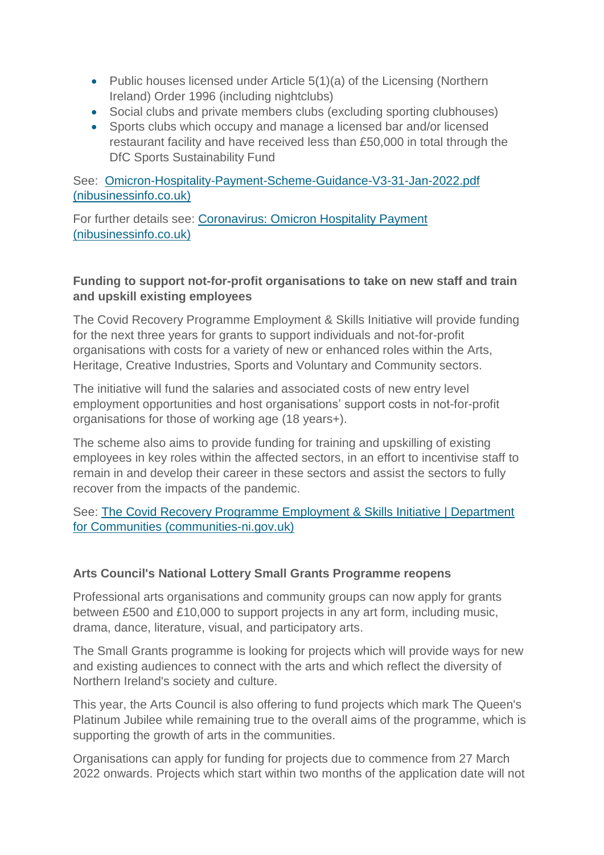- Public houses licensed under Article  $5(1)(a)$  of the Licensing (Northern Ireland) Order 1996 (including nightclubs)
- Social clubs and private members clubs (excluding sporting clubhouses)
- Sports clubs which occupy and manage a licensed bar and/or licensed restaurant facility and have received less than £50,000 in total through the DfC Sports Sustainability Fund

See: [Omicron-Hospitality-Payment-Scheme-Guidance-V3-31-Jan-2022.pdf](https://www.nibusinessinfo.co.uk/sites/default/files/2022-01/Omicron-Hospitality-Payment-Scheme-Guidance-V3-31-Jan-2022.pdf)  [\(nibusinessinfo.co.uk\)](https://www.nibusinessinfo.co.uk/sites/default/files/2022-01/Omicron-Hospitality-Payment-Scheme-Guidance-V3-31-Jan-2022.pdf)

For further details see: [Coronavirus: Omicron Hospitality Payment](https://www.nibusinessinfo.co.uk/content/coronavirus-omicron-hospitality-payment)  [\(nibusinessinfo.co.uk\)](https://www.nibusinessinfo.co.uk/content/coronavirus-omicron-hospitality-payment)

## **Funding to support not-for-profit organisations to take on new staff and train and upskill existing employees**

The Covid Recovery Programme Employment & Skills Initiative will provide funding for the next three years for grants to support individuals and not-for-profit organisations with costs for a variety of new or enhanced roles within the Arts, Heritage, Creative Industries, Sports and Voluntary and Community sectors.

The initiative will fund the salaries and associated costs of new entry level employment opportunities and host organisations' support costs in not-for-profit organisations for those of working age (18 years+).

The scheme also aims to provide funding for training and upskilling of existing employees in key roles within the affected sectors, in an effort to incentivise staff to remain in and develop their career in these sectors and assist the sectors to fully recover from the impacts of the pandemic.

See: [The Covid Recovery Programme Employment & Skills Initiative | Department](https://www.communities-ni.gov.uk/articles/covid-recovery-programme-employment-skills-initiative)  [for Communities \(communities-ni.gov.uk\)](https://www.communities-ni.gov.uk/articles/covid-recovery-programme-employment-skills-initiative)

## **Arts Council's National Lottery Small Grants Programme reopens**

Professional arts organisations and community groups can now apply for grants between £500 and £10,000 to support projects in any art form, including music, drama, dance, literature, visual, and participatory arts.

The Small Grants programme is looking for projects which will provide ways for new and existing audiences to connect with the arts and which reflect the diversity of Northern Ireland's society and culture.

This year, the Arts Council is also offering to fund projects which mark The Queen's Platinum Jubilee while remaining true to the overall aims of the programme, which is supporting the growth of arts in the communities.

Organisations can apply for funding for projects due to commence from 27 March 2022 onwards. Projects which start within two months of the application date will not